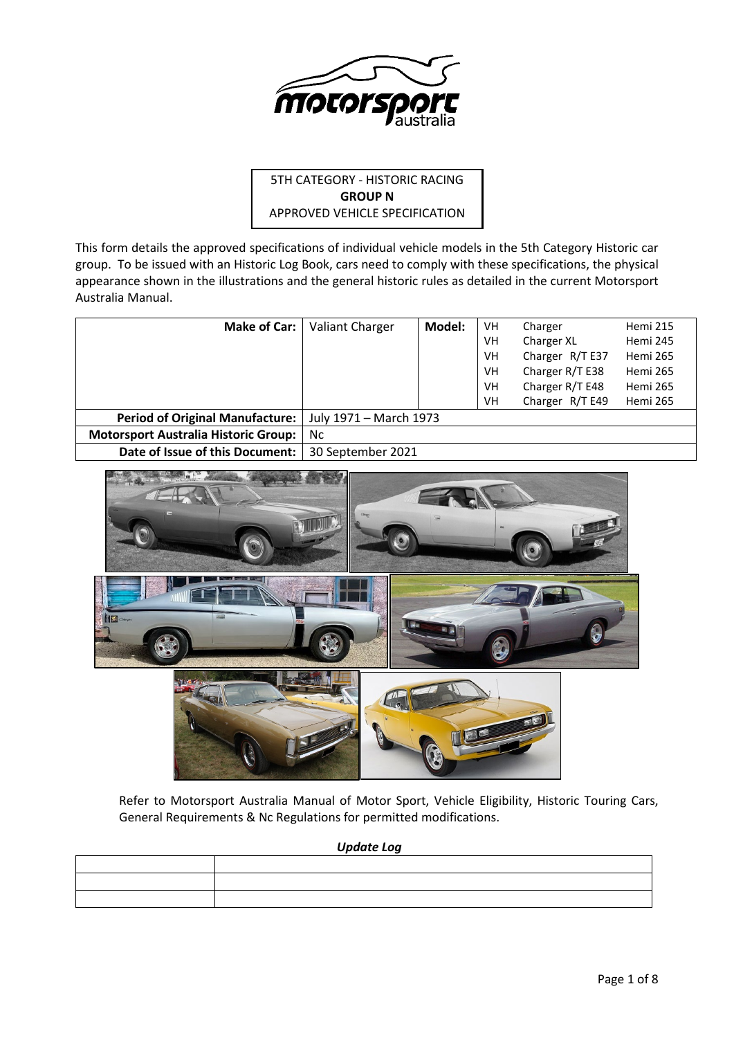

# 5TH CATEGORY - HISTORIC RACING **GROUP N** APPROVED VEHICLE SPECIFICATION

This form details the approved specifications of individual vehicle models in the 5th Category Historic car group. To be issued with an Historic Log Book, cars need to comply with these specifications, the physical appearance shown in the illustrations and the general historic rules as detailed in the current Motorsport Australia Manual.

| <b>Make of Car:</b>                         | Valiant Charger        | Model: | VH | Charger         | Hemi 215        |
|---------------------------------------------|------------------------|--------|----|-----------------|-----------------|
|                                             |                        |        | VH | Charger XL      | Hemi 245        |
|                                             |                        |        | VH | Charger R/T E37 | <b>Hemi 265</b> |
|                                             |                        |        | VH | Charger R/T E38 | <b>Hemi 265</b> |
|                                             |                        |        | VH | Charger R/T E48 | Hemi 265        |
|                                             |                        |        | VH | Charger R/T E49 | Hemi 265        |
| <b>Period of Original Manufacture:</b>      | July 1971 - March 1973 |        |    |                 |                 |
| <b>Motorsport Australia Historic Group:</b> | Nc.                    |        |    |                 |                 |
| Date of Issue of this Document:             | 30 September 2021      |        |    |                 |                 |



Refer to Motorsport Australia Manual of Motor Sport, Vehicle Eligibility, Historic Touring Cars, General Requirements & Nc Regulations for permitted modifications.

*Update Log*

| <u>in the company of the company of the company of the company of the company of the company of the company of the company of the company of the company of the company of the company of the company of the company of the comp</u> |  |
|--------------------------------------------------------------------------------------------------------------------------------------------------------------------------------------------------------------------------------------|--|
| the contract of the contract of the contract of the contract of the contract of                                                                                                                                                      |  |
|                                                                                                                                                                                                                                      |  |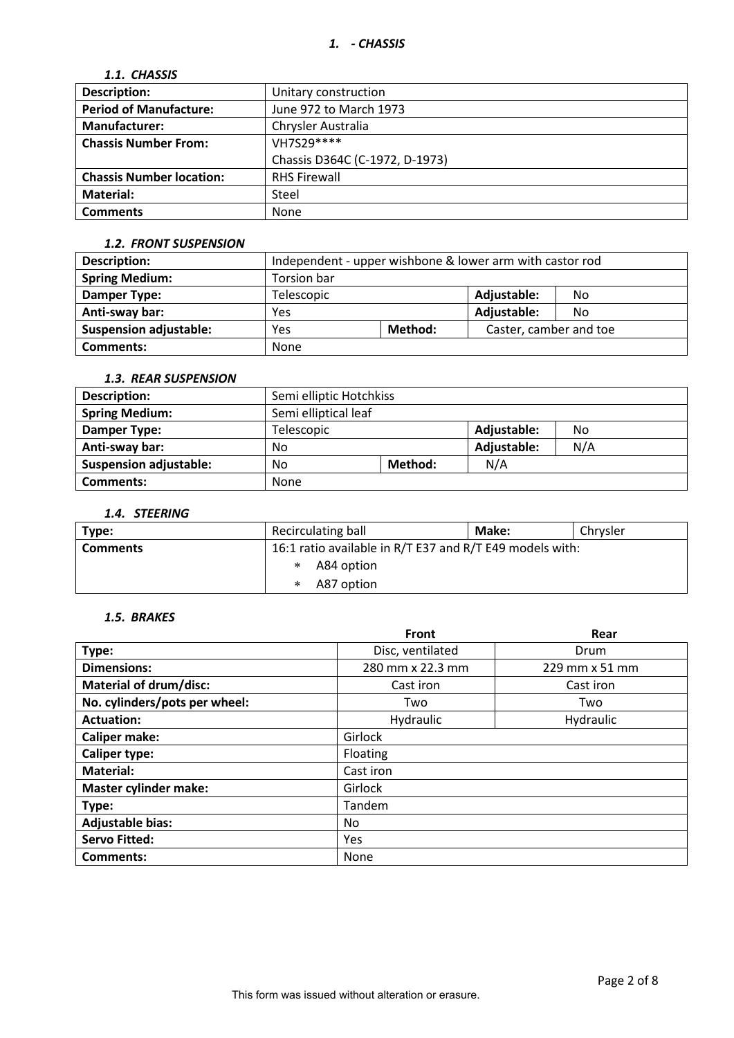# *1.1. CHASSIS*

| <b>Description:</b>             | Unitary construction           |  |  |
|---------------------------------|--------------------------------|--|--|
| <b>Period of Manufacture:</b>   | June 972 to March 1973         |  |  |
| <b>Manufacturer:</b>            | Chrysler Australia             |  |  |
| <b>Chassis Number From:</b>     | VH7S29 ****                    |  |  |
|                                 | Chassis D364C (C-1972, D-1973) |  |  |
| <b>Chassis Number location:</b> | <b>RHS Firewall</b>            |  |  |
| <b>Material:</b>                | Steel                          |  |  |
| <b>Comments</b>                 | None                           |  |  |

### *1.2. FRONT SUSPENSION*

| <b>Description:</b>           | Independent - upper wishbone & lower arm with castor rod |  |                        |    |
|-------------------------------|----------------------------------------------------------|--|------------------------|----|
| <b>Spring Medium:</b>         | Torsion bar                                              |  |                        |    |
| <b>Damper Type:</b>           | Telescopic                                               |  | Adjustable:            | No |
| Anti-sway bar:                | Yes                                                      |  | Adjustable:            | No |
| <b>Suspension adjustable:</b> | Method:<br>Yes                                           |  | Caster, camber and toe |    |
| <b>Comments:</b>              | <b>None</b>                                              |  |                        |    |

### *1.3. REAR SUSPENSION*

| <b>Description:</b>           |                      | Semi elliptic Hotchkiss |             |     |  |
|-------------------------------|----------------------|-------------------------|-------------|-----|--|
| <b>Spring Medium:</b>         | Semi elliptical leaf |                         |             |     |  |
| Damper Type:                  | Telescopic           |                         |             | No  |  |
| Anti-sway bar:                | No                   |                         | Adjustable: | N/A |  |
| <b>Suspension adjustable:</b> | Method:<br>No        |                         | N/A         |     |  |
| <b>Comments:</b>              | <b>None</b>          |                         |             |     |  |

### *1.4. STEERING*

| Type:           | Recirculating ball<br>Make:                              |  | Chrysler |
|-----------------|----------------------------------------------------------|--|----------|
| <b>Comments</b> | 16:1 ratio available in R/T E37 and R/T E49 models with: |  |          |
|                 | A84 option                                               |  |          |
|                 | A87 option                                               |  |          |

# *1.5. BRAKES*

|                               | Front            | Rear           |  |  |
|-------------------------------|------------------|----------------|--|--|
| Type:                         | Disc, ventilated | Drum           |  |  |
| <b>Dimensions:</b>            | 280 mm x 22.3 mm | 229 mm x 51 mm |  |  |
| <b>Material of drum/disc:</b> | Cast iron        | Cast iron      |  |  |
| No. cylinders/pots per wheel: | Two              | Two            |  |  |
| <b>Actuation:</b>             | Hydraulic        | Hydraulic      |  |  |
| <b>Caliper make:</b>          | Girlock          |                |  |  |
| <b>Caliper type:</b>          | Floating         |                |  |  |
| <b>Material:</b>              | Cast iron        |                |  |  |
| <b>Master cylinder make:</b>  | Girlock          |                |  |  |
| Type:                         | Tandem           |                |  |  |
| <b>Adjustable bias:</b>       | No               |                |  |  |
| <b>Servo Fitted:</b>          | Yes              |                |  |  |
| Comments:                     | None             |                |  |  |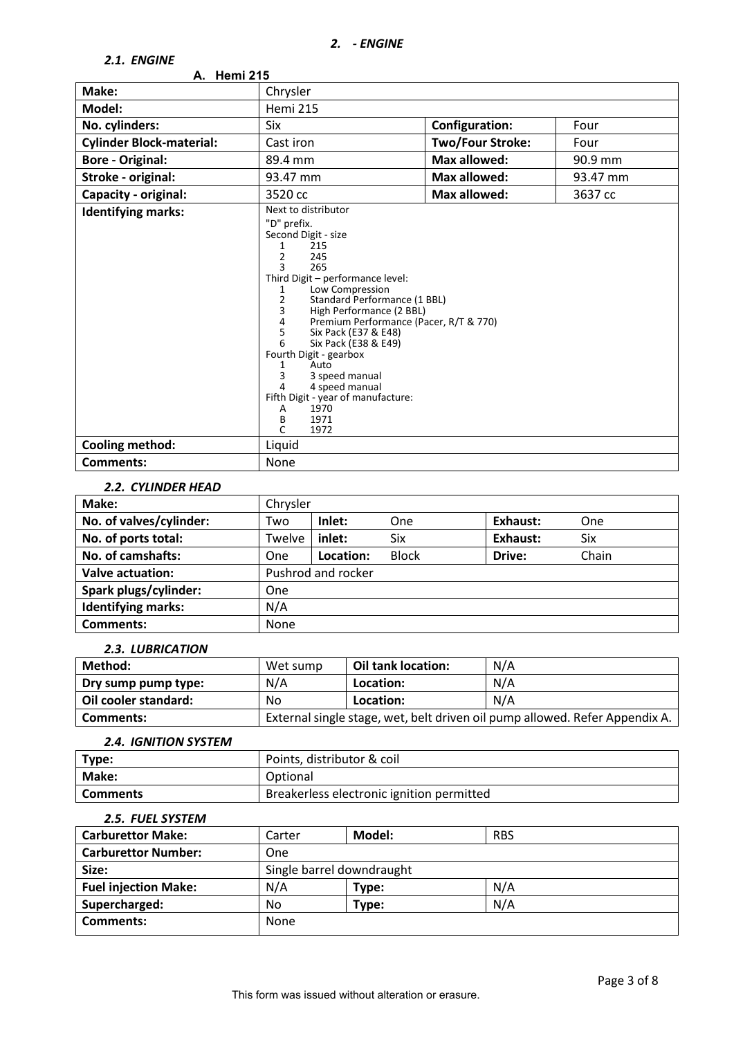### *2.1. ENGINE*

| <i>Z.I. ENGINE</i>              |                                                                                                                                                                                                                                                                                                                                                                                                                                                                                                                                                     |                         |          |  |  |
|---------------------------------|-----------------------------------------------------------------------------------------------------------------------------------------------------------------------------------------------------------------------------------------------------------------------------------------------------------------------------------------------------------------------------------------------------------------------------------------------------------------------------------------------------------------------------------------------------|-------------------------|----------|--|--|
| A. Hemi 215                     |                                                                                                                                                                                                                                                                                                                                                                                                                                                                                                                                                     |                         |          |  |  |
| Make:                           | Chrysler                                                                                                                                                                                                                                                                                                                                                                                                                                                                                                                                            |                         |          |  |  |
| Model:                          | <b>Hemi 215</b>                                                                                                                                                                                                                                                                                                                                                                                                                                                                                                                                     |                         |          |  |  |
| No. cylinders:                  | Six                                                                                                                                                                                                                                                                                                                                                                                                                                                                                                                                                 | <b>Configuration:</b>   | Four     |  |  |
| <b>Cylinder Block-material:</b> | Cast iron                                                                                                                                                                                                                                                                                                                                                                                                                                                                                                                                           | <b>Two/Four Stroke:</b> | Four     |  |  |
| <b>Bore - Original:</b>         | 89.4 mm                                                                                                                                                                                                                                                                                                                                                                                                                                                                                                                                             | <b>Max allowed:</b>     | 90.9 mm  |  |  |
| Stroke - original:              | 93.47 mm                                                                                                                                                                                                                                                                                                                                                                                                                                                                                                                                            | Max allowed:            | 93.47 mm |  |  |
| Capacity - original:            | 3520 cc                                                                                                                                                                                                                                                                                                                                                                                                                                                                                                                                             | <b>Max allowed:</b>     | 3637 cc  |  |  |
| <b>Identifying marks:</b>       | Next to distributor<br>"D" prefix.<br>Second Digit - size<br>215<br>1<br>$\overline{2}$<br>245<br>$\mathbf{a}$<br>265<br>Third Digit - performance level:<br>Low Compression<br>1<br>$\mathbf 2$<br>Standard Performance (1 BBL)<br>3<br>High Performance (2 BBL)<br>4<br>Premium Performance (Pacer, R/T & 770)<br>5<br>Six Pack (E37 & E48)<br>6<br>Six Pack (E38 & E49)<br>Fourth Digit - gearbox<br>Auto<br>1<br>3<br>3 speed manual<br>4 speed manual<br>4<br>Fifth Digit - year of manufacture:<br>1970<br>A<br>В<br>1971<br>$\Gamma$<br>1972 |                         |          |  |  |
| <b>Cooling method:</b>          | Liquid                                                                                                                                                                                                                                                                                                                                                                                                                                                                                                                                              |                         |          |  |  |
| <b>Comments:</b>                | None                                                                                                                                                                                                                                                                                                                                                                                                                                                                                                                                                |                         |          |  |  |

### *2.2. CYLINDER HEAD*

| Make:                     | Chrysler |                    |              |          |       |
|---------------------------|----------|--------------------|--------------|----------|-------|
| No. of valves/cylinder:   | Two      | Inlet:             | One          | Exhaust: | One   |
| No. of ports total:       | Twelve   | inlet:             | Six          | Exhaust: | Six   |
| No. of camshafts:         | One      | Location:          | <b>Block</b> | Drive:   | Chain |
| <b>Valve actuation:</b>   |          | Pushrod and rocker |              |          |       |
| Spark plugs/cylinder:     | One      |                    |              |          |       |
| <b>Identifying marks:</b> | N/A      |                    |              |          |       |
| <b>Comments:</b>          | None     |                    |              |          |       |

#### *2.3. LUBRICATION*

| Method:              | Wet sump | Oil tank location:                                                          | N/A |  |
|----------------------|----------|-----------------------------------------------------------------------------|-----|--|
| Dry sump pump type:  | N/A      | Location:                                                                   | N/A |  |
| Oil cooler standard: | No       | Location:                                                                   | N/A |  |
| Comments:            |          | External single stage, wet, belt driven oil pump allowed. Refer Appendix A. |     |  |

#### *2.4. IGNITION SYSTEM*

| Type:           | Points, distributor & coil                |
|-----------------|-------------------------------------------|
| Make:           | Optional                                  |
| <b>Comments</b> | Breakerless electronic ignition permitted |

### *2.5. FUEL SYSTEM*

| <b>Carburettor Make:</b>    | Carter | Model:                    | <b>RBS</b> |
|-----------------------------|--------|---------------------------|------------|
| <b>Carburettor Number:</b>  | One    |                           |            |
| Size:                       |        | Single barrel downdraught |            |
| <b>Fuel injection Make:</b> | N/A    | Type:                     | N/A        |
| Supercharged:               | No     | Type:                     | N/A        |
| Comments:                   | None   |                           |            |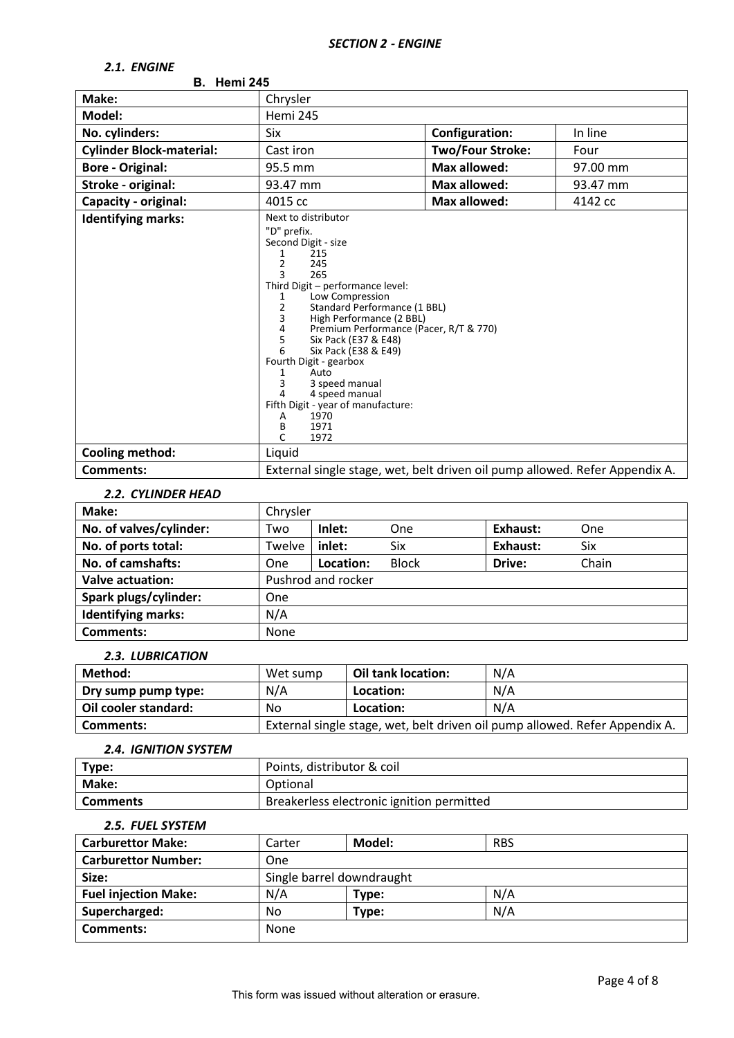# *2.1. ENGINE*

| <b>B.</b> Hemi 245              |                                                                                                                                                                                                                                                                                                                                                                                                                                                                                                            |                         |          |
|---------------------------------|------------------------------------------------------------------------------------------------------------------------------------------------------------------------------------------------------------------------------------------------------------------------------------------------------------------------------------------------------------------------------------------------------------------------------------------------------------------------------------------------------------|-------------------------|----------|
| Make:                           | Chrysler                                                                                                                                                                                                                                                                                                                                                                                                                                                                                                   |                         |          |
| Model:                          | Hemi 245                                                                                                                                                                                                                                                                                                                                                                                                                                                                                                   |                         |          |
| No. cylinders:                  | Six                                                                                                                                                                                                                                                                                                                                                                                                                                                                                                        | <b>Configuration:</b>   | In line  |
| <b>Cylinder Block-material:</b> | Cast iron                                                                                                                                                                                                                                                                                                                                                                                                                                                                                                  | <b>Two/Four Stroke:</b> | Four     |
| <b>Bore - Original:</b>         | 95.5 mm                                                                                                                                                                                                                                                                                                                                                                                                                                                                                                    | <b>Max allowed:</b>     | 97.00 mm |
| Stroke - original:              | 93.47 mm                                                                                                                                                                                                                                                                                                                                                                                                                                                                                                   | <b>Max allowed:</b>     | 93.47 mm |
| Capacity - original:            | 4015 cc                                                                                                                                                                                                                                                                                                                                                                                                                                                                                                    | Max allowed:            | 4142 cc  |
| <b>Identifying marks:</b>       | Next to distributor<br>"D" prefix.<br>Second Digit - size<br>215<br>1<br>2<br>245<br>265<br>3<br>Third Digit - performance level:<br>Low Compression<br>1<br>2<br>Standard Performance (1 BBL)<br>3<br>High Performance (2 BBL)<br>4<br>Premium Performance (Pacer, R/T & 770)<br>5<br>Six Pack (E37 & E48)<br>6<br>Six Pack (E38 & E49)<br>Fourth Digit - gearbox<br>Auto<br>1<br>3<br>3 speed manual<br>4 speed manual<br>4<br>Fifth Digit - year of manufacture:<br>1970<br>Α<br>1971<br>В<br>1972<br>C |                         |          |
| <b>Cooling method:</b>          | Liquid                                                                                                                                                                                                                                                                                                                                                                                                                                                                                                     |                         |          |
| <b>Comments:</b>                | External single stage, wet, belt driven oil pump allowed. Refer Appendix A.                                                                                                                                                                                                                                                                                                                                                                                                                                |                         |          |

#### *2.2. CYLINDER HEAD*

| Make:                     | Chrysler |                    |              |          |       |
|---------------------------|----------|--------------------|--------------|----------|-------|
| No. of valves/cylinder:   | Two      | Inlet:             | One          | Exhaust: | One   |
| No. of ports total:       | Twelve   | inlet:             | Six          | Exhaust: | Six   |
| No. of camshafts:         | One      | Location:          | <b>Block</b> | Drive:   | Chain |
| <b>Valve actuation:</b>   |          | Pushrod and rocker |              |          |       |
| Spark plugs/cylinder:     | One      |                    |              |          |       |
| <b>Identifying marks:</b> | N/A      |                    |              |          |       |
| Comments:                 | None     |                    |              |          |       |

# *2.3. LUBRICATION*

| Method:              | Wet sump | Oil tank location: | N/A                                                                         |
|----------------------|----------|--------------------|-----------------------------------------------------------------------------|
| Dry sump pump type:  | N/A      | Location:          | N/A                                                                         |
| Oil cooler standard: | Nο       | Location:          | N/A                                                                         |
| Comments:            |          |                    | External single stage, wet, belt driven oil pump allowed. Refer Appendix A. |

# *2.4. IGNITION SYSTEM*

| Type:           | Points, distributor & coil                |
|-----------------|-------------------------------------------|
| Make:           | Optional                                  |
| <b>Comments</b> | Breakerless electronic ignition permitted |

### *2.5. FUEL SYSTEM*

| <b>Carburettor Make:</b>    | Carter                    | Model: | <b>RBS</b> |
|-----------------------------|---------------------------|--------|------------|
| <b>Carburettor Number:</b>  | One                       |        |            |
| Size:                       | Single barrel downdraught |        |            |
| <b>Fuel injection Make:</b> | N/A                       | Type:  | N/A        |
| Supercharged:               | No                        | Type:  | N/A        |
| Comments:                   | None                      |        |            |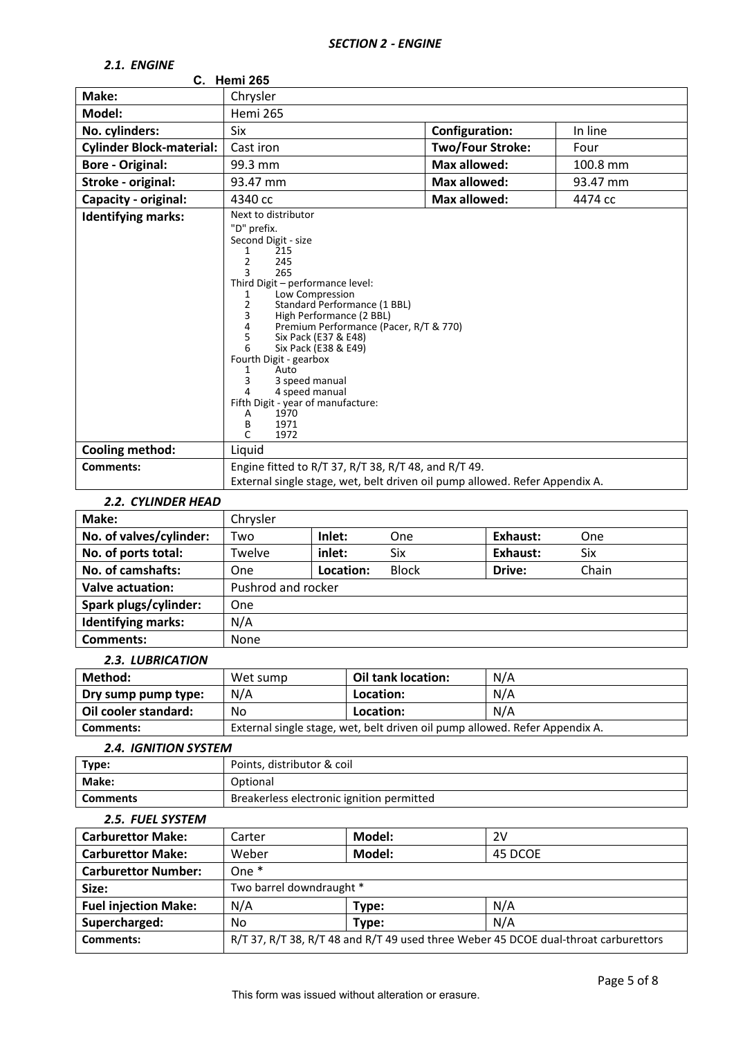# *2.1. ENGINE*

| <i>L.L. LIVUIIVL</i>            | C. Hemi 265                                                                                                                                                                                                                                                                                                                                                                                                                                                                                                             |                         |          |
|---------------------------------|-------------------------------------------------------------------------------------------------------------------------------------------------------------------------------------------------------------------------------------------------------------------------------------------------------------------------------------------------------------------------------------------------------------------------------------------------------------------------------------------------------------------------|-------------------------|----------|
|                                 |                                                                                                                                                                                                                                                                                                                                                                                                                                                                                                                         |                         |          |
| Make:                           | Chrysler                                                                                                                                                                                                                                                                                                                                                                                                                                                                                                                |                         |          |
| Model:                          | <b>Hemi 265</b>                                                                                                                                                                                                                                                                                                                                                                                                                                                                                                         |                         |          |
| No. cylinders:                  | <b>Six</b>                                                                                                                                                                                                                                                                                                                                                                                                                                                                                                              | <b>Configuration:</b>   | In line  |
| <b>Cylinder Block-material:</b> | Cast iron                                                                                                                                                                                                                                                                                                                                                                                                                                                                                                               | <b>Two/Four Stroke:</b> | Four     |
| <b>Bore - Original:</b>         | 99.3 mm                                                                                                                                                                                                                                                                                                                                                                                                                                                                                                                 | <b>Max allowed:</b>     | 100.8 mm |
| Stroke - original:              | 93.47 mm                                                                                                                                                                                                                                                                                                                                                                                                                                                                                                                | <b>Max allowed:</b>     | 93.47 mm |
| Capacity - original:            | 4340 cc                                                                                                                                                                                                                                                                                                                                                                                                                                                                                                                 | <b>Max allowed:</b>     | 4474 cc  |
| <b>Identifying marks:</b>       | Next to distributor<br>"D" prefix.<br>Second Digit - size<br>215<br>1<br>$\overline{2}$<br>245<br>3<br>265<br>Third Digit - performance level:<br>Low Compression<br>1<br>2<br>Standard Performance (1 BBL)<br>3<br>High Performance (2 BBL)<br>4<br>Premium Performance (Pacer, R/T & 770)<br>5<br>Six Pack (E37 & E48)<br>Six Pack (E38 & E49)<br>6<br>Fourth Digit - gearbox<br>Auto<br>1<br>3<br>3 speed manual<br>4 speed manual<br>4<br>Fifth Digit - year of manufacture:<br>1970<br>A<br>1971<br>В<br>C<br>1972 |                         |          |
| <b>Cooling method:</b>          | Liquid                                                                                                                                                                                                                                                                                                                                                                                                                                                                                                                  |                         |          |
| Comments:                       | Engine fitted to R/T 37, R/T 38, R/T 48, and R/T 49.                                                                                                                                                                                                                                                                                                                                                                                                                                                                    |                         |          |
|                                 | External single stage, wet, belt driven oil pump allowed. Refer Appendix A.                                                                                                                                                                                                                                                                                                                                                                                                                                             |                         |          |

#### *2.2. CYLINDER HEAD*

| Make:                     | Chrysler |                    |              |          |       |
|---------------------------|----------|--------------------|--------------|----------|-------|
| No. of valves/cylinder:   | Two      | Inlet:             | One          | Exhaust: | One   |
| No. of ports total:       | Twelve   | inlet:             | Six          | Exhaust: | Six   |
| No. of camshafts:         | One      | Location:          | <b>Block</b> | Drive:   | Chain |
| <b>Valve actuation:</b>   |          | Pushrod and rocker |              |          |       |
| Spark plugs/cylinder:     | One      |                    |              |          |       |
| <b>Identifying marks:</b> | N/A      |                    |              |          |       |
| <b>Comments:</b>          | None     |                    |              |          |       |

### *2.3. LUBRICATION*

| Method:              | Wet sump                                                                    | Oil tank location: | N/A |
|----------------------|-----------------------------------------------------------------------------|--------------------|-----|
| Dry sump pump type:  | N/A                                                                         | Location:          | N/A |
| Oil cooler standard: | No                                                                          | Location:          | N/A |
| Comments:            | External single stage, wet, belt driven oil pump allowed. Refer Appendix A. |                    |     |

#### *2.4. IGNITION SYSTEM*

| Type:           | Points, distributor & coil                |
|-----------------|-------------------------------------------|
| Make:           | Optional                                  |
| <b>Comments</b> | Breakerless electronic ignition permitted |

#### *2.5. FUEL SYSTEM*

| <b>Carburettor Make:</b>    | Carter                   | Model: | 2V                                                                                  |
|-----------------------------|--------------------------|--------|-------------------------------------------------------------------------------------|
| <b>Carburettor Make:</b>    | Weber                    | Model: | 45 DCOE                                                                             |
| <b>Carburettor Number:</b>  | One $*$                  |        |                                                                                     |
| Size:                       | Two barrel downdraught * |        |                                                                                     |
| <b>Fuel injection Make:</b> | N/A                      | Type:  | N/A                                                                                 |
| Supercharged:               | No                       | Type:  | N/A                                                                                 |
| <b>Comments:</b>            |                          |        | R/T 37, R/T 38, R/T 48 and R/T 49 used three Weber 45 DCOE dual-throat carburettors |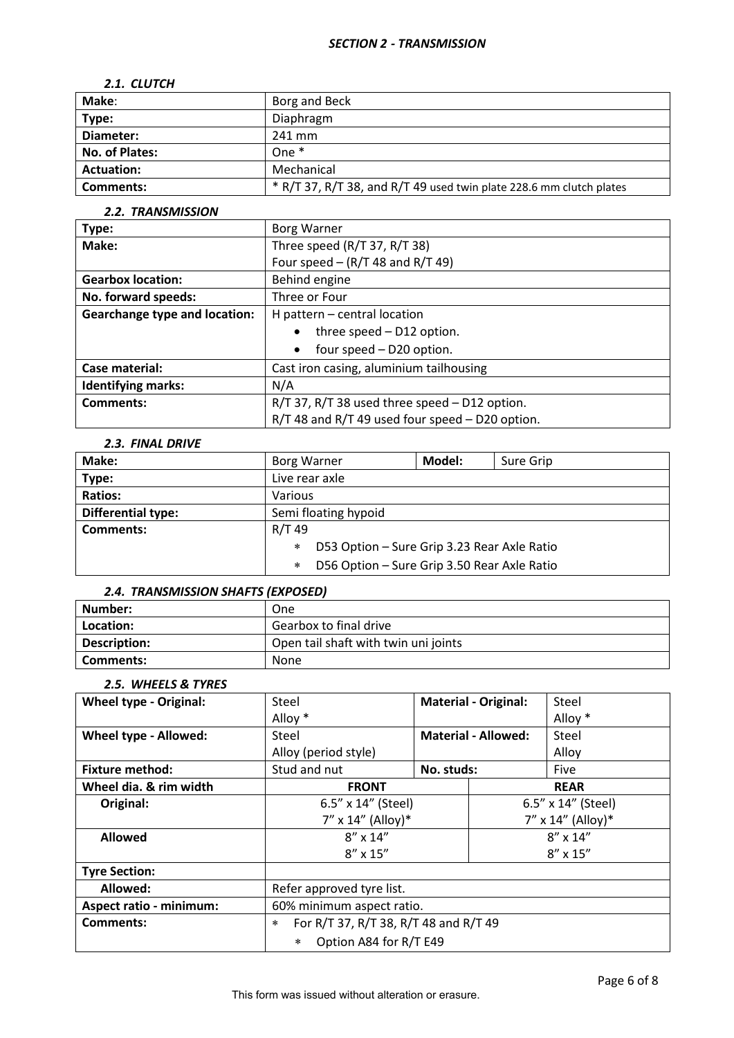### *2.1. CLUTCH*

| Make:             | Borg and Beck                                                       |
|-------------------|---------------------------------------------------------------------|
| Type:             | Diaphragm                                                           |
| Diameter:         | 241 mm                                                              |
| No. of Plates:    | One $*$                                                             |
| <b>Actuation:</b> | Mechanical                                                          |
| <b>Comments:</b>  | * R/T 37, R/T 38, and R/T 49 used twin plate 228.6 mm clutch plates |

### *2.2. TRANSMISSION*

| Type:                                | <b>Borg Warner</b>                              |  |
|--------------------------------------|-------------------------------------------------|--|
| Make:                                | Three speed (R/T 37, R/T 38)                    |  |
|                                      | Four speed $-$ (R/T 48 and R/T 49)              |  |
| <b>Gearbox location:</b>             | Behind engine                                   |  |
| No. forward speeds:                  | Three or Four                                   |  |
| <b>Gearchange type and location:</b> | H pattern $-$ central location                  |  |
|                                      | three speed - D12 option.<br>$\bullet$          |  |
|                                      | four speed - D20 option.<br>$\bullet$           |  |
| Case material:                       | Cast iron casing, aluminium tailhousing         |  |
| <b>Identifying marks:</b>            | N/A                                             |  |
| <b>Comments:</b>                     | R/T 37, R/T 38 used three speed - D12 option.   |  |
|                                      | R/T 48 and R/T 49 used four speed - D20 option. |  |

# *2.3. FINAL DRIVE*

| Make:              | Borg Warner                                        | Model: | Sure Grip |
|--------------------|----------------------------------------------------|--------|-----------|
| Type:              | Live rear axle                                     |        |           |
| <b>Ratios:</b>     | Various                                            |        |           |
| Differential type: | Semi floating hypoid                               |        |           |
| Comments:          | R/T 49                                             |        |           |
|                    | D53 Option - Sure Grip 3.23 Rear Axle Ratio<br>$*$ |        |           |
|                    | D56 Option - Sure Grip 3.50 Rear Axle Ratio<br>$*$ |        |           |

### *2.4. TRANSMISSION SHAFTS (EXPOSED)*

| l Number:    | <b>One</b>                           |
|--------------|--------------------------------------|
| Location:    | Gearbox to final drive               |
| Description: | Open tail shaft with twin uni joints |
| Comments:    | None                                 |

# *2.5. WHEELS & TYRES*

| <b>Wheel type - Original:</b>  | Steel                                           |            | <b>Material - Original:</b> | Steel                |  |
|--------------------------------|-------------------------------------------------|------------|-----------------------------|----------------------|--|
|                                | Alloy *                                         |            |                             | Alloy *              |  |
| Wheel type - Allowed:          | Steel                                           |            | <b>Material - Allowed:</b>  | Steel                |  |
|                                | Alloy (period style)                            |            |                             | Alloy                |  |
| <b>Fixture method:</b>         | Stud and nut                                    | No. studs: |                             | Five                 |  |
| Wheel dia. & rim width         | <b>FRONT</b>                                    |            |                             | <b>REAR</b>          |  |
| Original:                      | 6.5" x 14" (Steel)                              |            | 6.5" x 14" (Steel)          |                      |  |
|                                | $7''$ x 14" (Alloy)*                            |            |                             | $7''$ x 14" (Alloy)* |  |
| <b>Allowed</b>                 | $8'' \times 14''$                               |            | $8'' \times 14''$           |                      |  |
|                                | $8'' \times 15''$                               |            |                             | $8'' \times 15''$    |  |
| <b>Tyre Section:</b>           |                                                 |            |                             |                      |  |
| Allowed:                       | Refer approved tyre list.                       |            |                             |                      |  |
| <b>Aspect ratio - minimum:</b> | 60% minimum aspect ratio.                       |            |                             |                      |  |
| Comments:                      | For R/T 37, R/T 38, R/T 48 and R/T 49<br>$\ast$ |            |                             |                      |  |
|                                | Option A84 for R/T E49                          |            |                             |                      |  |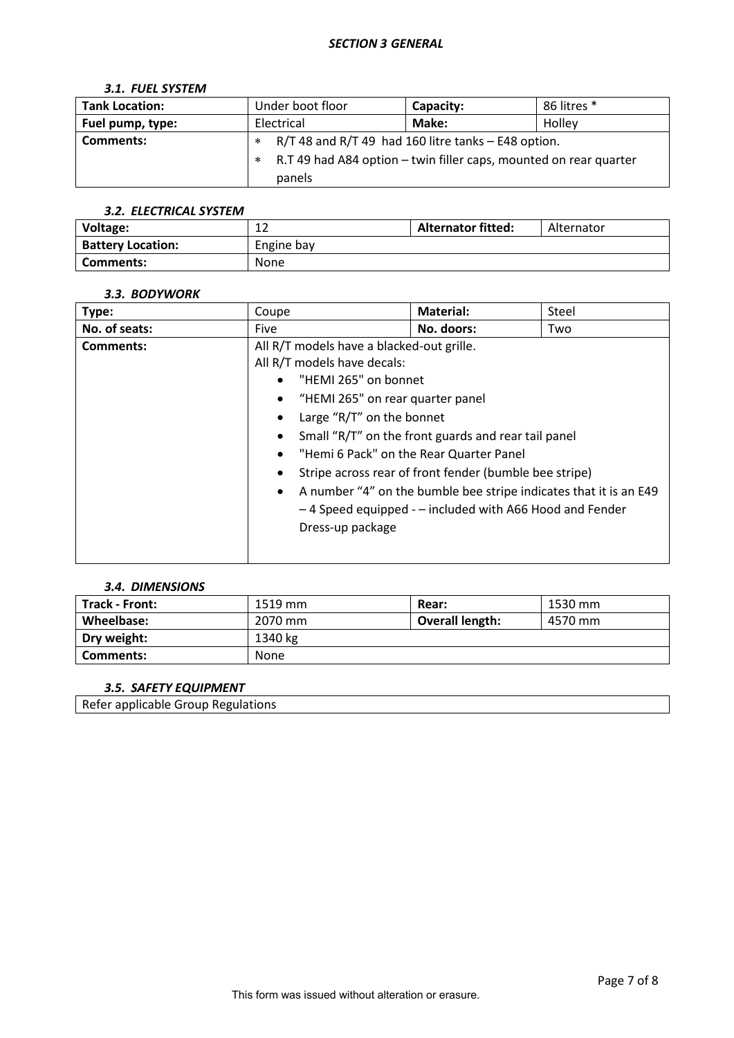# *3.1. FUEL SYSTEM*

| <b>Tank Location:</b> | Under boot floor                                                       | Capacity:                                               | 86 litres * |  |
|-----------------------|------------------------------------------------------------------------|---------------------------------------------------------|-------------|--|
| Fuel pump, type:      | Electrical                                                             | Make:                                                   | Holley      |  |
| Comments:             |                                                                        | $R/T$ 48 and $R/T$ 49 had 160 litre tanks – E48 option. |             |  |
|                       | R.T 49 had A84 option – twin filler caps, mounted on rear quarter<br>* |                                                         |             |  |
|                       | panels                                                                 |                                                         |             |  |

### *3.2. ELECTRICAL SYSTEM*

| Voltage:                 | $\sim$<br>∸ | <b>Alternator fitted:</b> | Alternator |
|--------------------------|-------------|---------------------------|------------|
| <b>Battery Location:</b> | Engine bay  |                           |            |
| Comments:                | None        |                           |            |

#### *3.3. BODYWORK*

| Type:         | Coupe                                                                                                                                                                                                                                                                                                                                                                                                                                                                                                                                 | <b>Material:</b> | Steel |  |
|---------------|---------------------------------------------------------------------------------------------------------------------------------------------------------------------------------------------------------------------------------------------------------------------------------------------------------------------------------------------------------------------------------------------------------------------------------------------------------------------------------------------------------------------------------------|------------------|-------|--|
| No. of seats: | <b>Five</b>                                                                                                                                                                                                                                                                                                                                                                                                                                                                                                                           | No. doors:       | Two   |  |
| Comments:     | All R/T models have a blacked-out grille.<br>All R/T models have decals:<br>"HEMI 265" on bonnet<br>$\bullet$<br>"HEMI 265" on rear quarter panel<br>$\bullet$<br>Large "R/T" on the bonnet<br>Small "R/T" on the front guards and rear tail panel<br>"Hemi 6 Pack" on the Rear Quarter Panel<br>$\bullet$<br>Stripe across rear of front fender (bumble bee stripe)<br>A number "4" on the bumble bee stripe indicates that it is an E49<br>$\bullet$<br>-4 Speed equipped - - included with A66 Hood and Fender<br>Dress-up package |                  |       |  |

### *3.4. DIMENSIONS*

| Track - Front: | 1519 mm     | Rear:                  | 1530 mm |
|----------------|-------------|------------------------|---------|
| Wheelbase:     | 2070 mm     | <b>Overall length:</b> | 4570 mm |
| Dry weight:    | 1340 kg     |                        |         |
| Comments:      | <b>None</b> |                        |         |

### *3.5. SAFETY EQUIPMENT*

Refer applicable Group Regulations